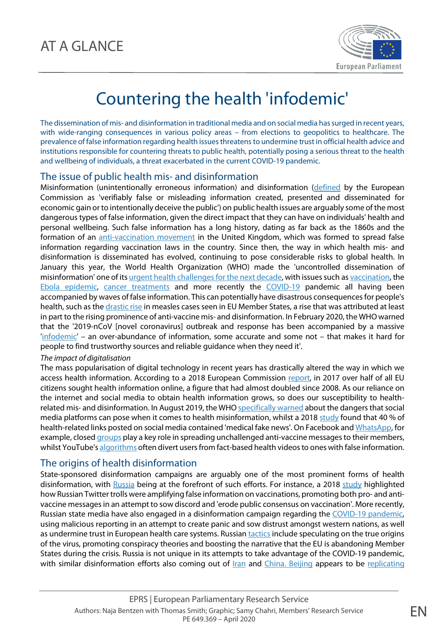

# Countering the health 'infodemic'

The dissemination of mis- and disinformation in traditional media and on social media has surged in recent years, with wide-ranging consequences in various policy areas – from elections to geopolitics to healthcare. The prevalence of false information regarding health issues threatens to undermine trust in official health advice and institutions responsible for countering threats to public health, potentially posing a serious threat to the health and wellbeing of individuals, a threat exacerbated in the current COVID-19 pandemic.

## The issue of public health mis- and disinformation

Misinformation (unintentionally erroneous information) and disinformation [\(defined](https://ec.europa.eu/digital-single-market/en/tackling-online-disinformation) by the European Commission as 'verifiably false or misleading information created, presented and disseminated for economic gain or to intentionally deceive the public') on public health issues are arguably some of the most dangerous types of false information, given the direct impact that they can have on individuals' health and personal wellbeing. Such false information has a long history, dating as far back as the 1860s and the formation of an [anti-vaccination movement](https://www.bbc.com/news/uk-england-leicestershire-50713991) in the United Kingdom, which was formed to spread false information regarding vaccination laws in the country. Since then, the way in which health mis- and disinformation is disseminated has evolved, continuing to pose considerable risks to global health. In January this year, the World Health Organization (WHO) made the 'uncontrolled dissemination of misinformation' one of its [urgent health challenges for the next decade,](https://www.who.int/news-room/photo-story/photo-story-detail/urgent-health-challenges-for-the-next-decade) with issues such a[s vaccination,](https://www.bbc.com/news/health-48585036) the [Ebola epidemic,](https://www.cfr.org/blog/disinformation-and-disease-social-media-and-ebola-epidemic-democratic-republic-congo) [cancer treatments](https://www.healthnewsreview.org/2018/06/cancer-misinformation-in-various-media-concerns-breast-cancer-patients-in-us-uk/) and more recently the [COVID-19](https://euvsdisinfo.eu/eeas-special-report-update-short-assessment-of-narratives-and-disinformation-around-the-covid-19-pandemic/) pandemic all having been accompanied by waves of false information. This can potentially have disastrous consequences for people's health, such as th[e drastic rise](https://www.europarl.europa.eu/news/en/headlines/society/20180316STO99921/vaccines-meps-concerned-about-drop-in-eu-vaccination-rates) in measles cases seen in EU Member States, a rise that was attributed at least in part to the rising prominence of anti-vaccine mis- and disinformation. In February 2020, the WHO warned that the '2019-nCoV [novel coronavirus] outbreak and response has been accompanied by a massive ['infodemic'](https://www.who.int/docs/default-source/coronaviruse/situation-reports/20200202-sitrep-13-ncov-v3.pdf?sfvrsn=195f4010_6) – an over-abundance of information, some accurate and some not – that makes it hard for people to find trustworthy sources and reliable guidance when they need it'.

### *The impact of digitalisation*

The mass popularisation of digital technology in recent years has drastically altered the way in which we access health information. According to a 2018 European Commission [report,](https://ec.europa.eu/health/sites/health/files/state/docs/2018_healthatglance_rep_en.pdf) in 2017 over half of all EU citizens sought health information online, a figure that had almost doubled since 2008. As our reliance on the internet and social media to obtain health information grows, so does our susceptibility to healthrelated mis- and disinformation. In August 2019, the WH[O specifically warned](https://www.who.int/news-room/detail/28-08-2019-who-director-general-statement-on-the-role-of-social-media-platforms-in-health-information) about the dangers that social media platforms can pose when it comes to health misinformation, whilst a 201[8 study](https://www.sciencedirect.com/science/article/abs/pii/S2211883718300881) found that 40 % of health-related links posted on social media contained 'medical fake news'. On Facebook an[d WhatsApp,](https://www.indiatoday.in/technology/news/story/whatsapp-is-being-used-to-spread-anti-vaccine-news-in-india-1502076-2019-04-15) for example, closed [groups](https://www.theguardian.com/technology/2019/feb/12/facebook-anti-vaxxer-vaccination-groups-pressure-misinformation) play a key role in spreading unchallenged anti-vaccine messages to their members, whilst YouTube's [algorithms](https://www.theguardian.com/media/2019/feb/01/facebook-youtube-anti-vaccination-misinformation-social-media) often divert users from fact-based health videos to ones with false information.

# The origins of health disinformation

State-sponsored disinformation campaigns are arguably one of the most prominent forms of health disinformation, with [Russia](https://www.axios.com/russian-misinformation-campaigns-target-health-issues-5g-measles-anti-vaxx-c477a849-0e63-4043-bf94-9bc01fe60561.html) being at the forefront of such efforts. For instance, a 2018 [study](https://ajph.aphapublications.org/doi/pdf/10.2105/AJPH.2018.304567) highlighted how Russian Twitter trolls were amplifying false information on vaccinations, promoting both pro- and antivaccine messages in an attempt to sow discord and 'erode public consensus on vaccination'. More recently, Russian state media have also engaged in a disinformation campaign regarding the [COVID-19 pandemic,](https://www.euractiv.com/section/global-europe/news/russia-deploying-coronavirus-disinformation-to-sow-panic-in-west-eu-document-says/)  using malicious reporting in an attempt to create panic and sow distrust amongst western nations, as well as undermine trust in European health care systems. Russian [tactics](https://euvsdisinfo.eu/eeas-special-report-disinformation-on-the-coronavirus-short-assessment-of-the-information-environment/) include speculating on the true origins of the virus, promoting conspiracy theories and boosting the narrative that the EU is abandoning Member States during the crisis. Russia is not unique in its attempts to take advantage of the COVID-19 pandemic, with similar disinformation efforts also coming out of *Iran* and *China. Beijing appears to be [replicating](https://www.cepa.org/geopolitics-and-the-pandemic)*